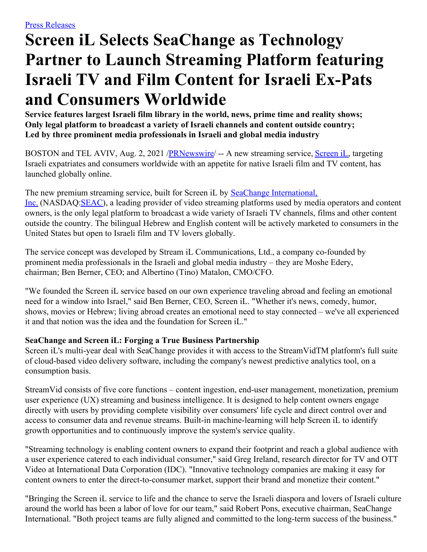# **Screen iL Selects SeaChange as Technology Partner to Launch Streaming Platform featuring Israeli TV and Film Content for Israeli Ex-Pats and Consumers Worldwide**

**Service features largest Israeli film library in the world, news, prime time and reality shows; Only legal platform to broadcast a variety of Israeli channels and content outside country; Led by three prominent media professionals in Israeli and global media industry**

BOSTON and TEL AVIV, Aug. 2, 2021 [/PRNewswire](http://www.prnewswire.com/)/ -- A new streaming service, [Screen](https://c212.net/c/link/?t=0&l=en&o=3244105-1&h=4075615218&u=http%3A%2F%2Fwww.screenil.com%2Fen&a=Screen+iL) iL, targeting Israeli expatriates and consumers worldwide with an appetite for native Israeli film and TV content, has launched globally online.

The new premium streaming service, built for Screen iL by SeaChange International, Inc. [\(NASDAQ:SEAC\),](https://c212.net/c/link/?t=0&l=en&o=3244105-1&h=3204516824&u=http%3A%2F%2Fwww.seachange.com%2F&a=SeaChange+International%2C+Inc.) a leading provider of video streaming platforms used by media operators and content owners, is the only legal platform to broadcast a wide variety of Israeli TV channels, films and other content outside the country. The bilingual Hebrew and English content will be actively marketed to consumers in the United States but open to Israeli film and TV lovers globally.

The service concept was developed by Stream iL Communications, Ltd., a company co-founded by prominent media professionals in the Israeli and global media industry – they are Moshe Edery, chairman; Ben Berner, CEO; and Albertino (Tino) Matalon, CMO/CFO.

"We founded the Screen iL service based on our own experience traveling abroad and feeling an emotional need for a window into Israel," said Ben Berner, CEO, Screen iL. "Whether it's news, comedy, humor, shows, movies or Hebrew; living abroad creates an emotional need to stay connected – we've all experienced it and that notion was the idea and the foundation for Screen iL."

## **SeaChange and Screen iL: Forging a True Business Partnership**

Screen iL's multi-year deal with SeaChange provides it with access to the StreamVidTM platform's full suite of cloud-based video delivery software, including the company's newest predictive analytics tool, on a consumption basis.

StreamVid consists of five core functions – content ingestion, end-user management, monetization, premium user experience (UX) streaming and business intelligence. It is designed to help content owners engage directly with users by providing complete visibility over consumers' life cycle and direct control over and access to consumer data and revenue streams. Built-in machine-learning will help Screen iL to identify growth opportunities and to continuously improve the system's service quality.

"Streaming technology is enabling content owners to expand their footprint and reach a global audience with a user experience catered to each individual consumer," said Greg Ireland, research director for TV and OTT Video at International Data Corporation (IDC). "Innovative technology companies are making it easy for content owners to enter the direct-to-consumer market, support their brand and monetize their content."

"Bringing the Screen iL service to life and the chance to serve the Israeli diaspora and lovers of Israeli culture around the world has been a labor of love for our team," said Robert Pons, executive chairman, SeaChange International. "Both project teams are fully aligned and committed to the long-term success of the business."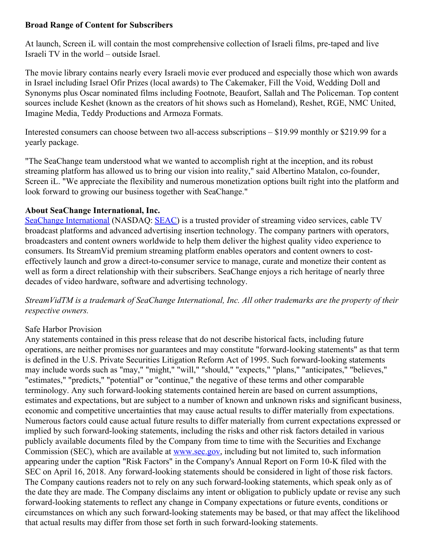#### **Broad Range of Content for Subscribers**

At launch, Screen iL will contain the most comprehensive collection of Israeli films, pre-taped and live Israeli TV in the world – outside Israel.

The movie library contains nearly every Israeli movie ever produced and especially those which won awards in Israel including Israel Ofir Prizes (local awards) to The Cakemaker, Fill the Void, Wedding Doll and Synonyms plus Oscar nominated films including Footnote, Beaufort, Sallah and The Policeman. Top content sources include Keshet (known as the creators of hit shows such as Homeland), Reshet, RGE, NMC United, Imagine Media, Teddy Productions and Armoza Formats.

Interested consumers can choose between two all-access subscriptions – \$19.99 monthly or \$219.99 for a yearly package.

"The SeaChange team understood what we wanted to accomplish right at the inception, and its robust streaming platform has allowed us to bring our vision into reality," said Albertino Matalon, co-founder, Screen iL. "We appreciate the flexibility and numerous monetization options built right into the platform and look forward to growing our business together with SeaChange."

#### **About SeaChange International, Inc.**

SeaChange [International](https://c212.net/c/link/?t=0&l=en&o=3244105-1&h=3143706525&u=http%3A%2F%2Fwww.seachange.com%2F&a=SeaChange+International) (NASDAQ: [SEAC](https://www.prnewswire.com/news-releases/screen-il-selects-seachange-as-technology-partner-to-launch-streaming-platform-featuring-israeli-tv-and-film-content-for-israeli-ex-pats-and-consumers-worldwide-301345055.html#financial-modal)) is a trusted provider of streaming video services, cable TV broadcast platforms and advanced advertising insertion technology. The company partners with operators, broadcasters and content owners worldwide to help them deliver the highest quality video experience to consumers. Its StreamVid premium streaming platform enables operators and content owners to costeffectively launch and grow a direct-to-consumer service to manage, curate and monetize their content as well as form a direct relationship with their subscribers. SeaChange enjoys a rich heritage of nearly three decades of video hardware, software and advertising technology.

*StreamVidTM is a trademark of SeaChange International, Inc. All other trademarks are the property of their respective owners.*

### Safe Harbor Provision

Any statements contained in this press release that do not describe historical facts, including future operations, are neither promises nor guarantees and may constitute "forward-looking statements" as that term is defined in the U.S. Private Securities Litigation Reform Act of 1995. Such forward-looking statements may include words such as "may," "might," "will," "should," "expects," "plans," "anticipates," "believes," "estimates," "predicts," "potential" or "continue," the negative of these terms and other comparable terminology. Any such forward-looking statements contained herein are based on current assumptions, estimates and expectations, but are subject to a number of known and unknown risks and significant business, economic and competitive uncertainties that may cause actual results to differ materially from expectations. Numerous factors could cause actual future results to differ materially from current expectations expressed or implied by such forward-looking statements, including the risks and other risk factors detailed in various publicly available documents filed by the Company from time to time with the Securities and Exchange Commission (SEC), which are available at [www.sec.gov](http://www.sec.gov/), including but not limited to, such information appearing under the caption "Risk Factors" in the Company's Annual Report on Form 10-K filed with the SEC on April 16, 2018. Any forward-looking statements should be considered in light of those risk factors. The Company cautions readers not to rely on any such forward-looking statements, which speak only as of the date they are made. The Company disclaims any intent or obligation to publicly update or revise any such forward-looking statements to reflect any change in Company expectations or future events, conditions or circumstances on which any such forward-looking statements may be based, or that may affect the likelihood that actual results may differ from those set forth in such forward-looking statements.